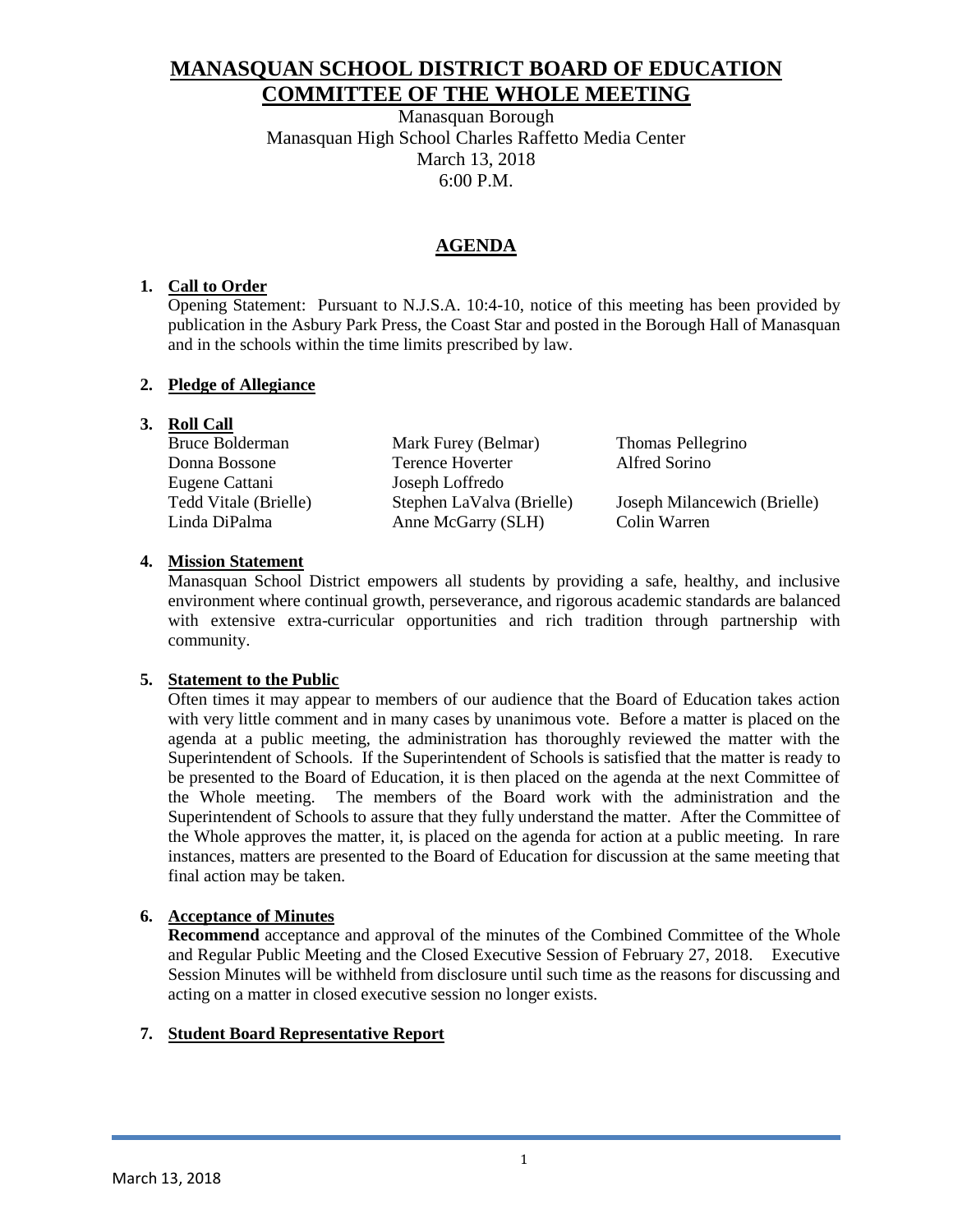# **MANASQUAN SCHOOL DISTRICT BOARD OF EDUCATION COMMITTEE OF THE WHOLE MEETING**

Manasquan Borough Manasquan High School Charles Raffetto Media Center March 13, 2018 6:00 P.M.

# **AGENDA**

### **1. Call to Order**

Opening Statement: Pursuant to N.J.S.A. 10:4-10, notice of this meeting has been provided by publication in the Asbury Park Press, the Coast Star and posted in the Borough Hall of Manasquan and in the schools within the time limits prescribed by law.

### **2. Pledge of Allegiance**

# **3. Roll Call**

| Bruce Bolderman       | Mark Furey (Belmar)       | Thomas Pellegrino            |
|-----------------------|---------------------------|------------------------------|
| Donna Bossone         | Terence Hoverter          | Alfred Sorino                |
| Eugene Cattani        | Joseph Loffredo           |                              |
| Tedd Vitale (Brielle) | Stephen LaValva (Brielle) | Joseph Milancewich (Brielle) |
| Linda DiPalma         | Anne McGarry (SLH)        | Colin Warren                 |
|                       |                           |                              |

### **4. Mission Statement**

Manasquan School District empowers all students by providing a safe, healthy, and inclusive environment where continual growth, perseverance, and rigorous academic standards are balanced with extensive extra-curricular opportunities and rich tradition through partnership with community.

### **5. Statement to the Public**

Often times it may appear to members of our audience that the Board of Education takes action with very little comment and in many cases by unanimous vote. Before a matter is placed on the agenda at a public meeting, the administration has thoroughly reviewed the matter with the Superintendent of Schools. If the Superintendent of Schools is satisfied that the matter is ready to be presented to the Board of Education, it is then placed on the agenda at the next Committee of the Whole meeting. The members of the Board work with the administration and the Superintendent of Schools to assure that they fully understand the matter. After the Committee of the Whole approves the matter, it, is placed on the agenda for action at a public meeting. In rare instances, matters are presented to the Board of Education for discussion at the same meeting that final action may be taken.

# **6. Acceptance of Minutes**

**Recommend** acceptance and approval of the minutes of the Combined Committee of the Whole and Regular Public Meeting and the Closed Executive Session of February 27, 2018. Executive Session Minutes will be withheld from disclosure until such time as the reasons for discussing and acting on a matter in closed executive session no longer exists.

# **7. Student Board Representative Report**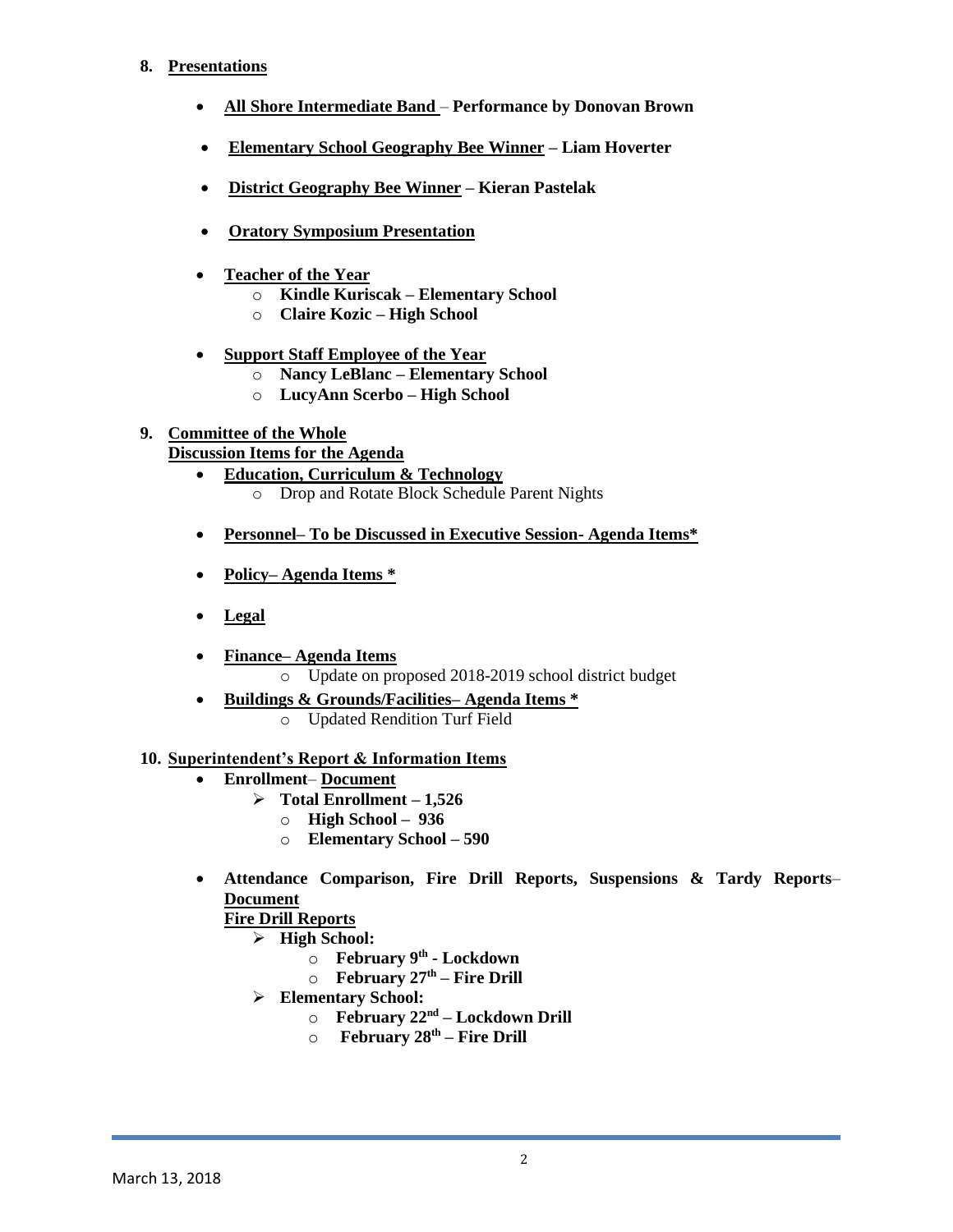### **8. Presentations**

- **All Shore Intermediate Band Performance by Donovan Brown**
- **Elementary School Geography Bee Winner – Liam Hoverter**
- **District Geography Bee Winner – Kieran Pastelak**
- **Oratory Symposium Presentation**
- **Teacher of the Year**
	- o **Kindle Kuriscak – Elementary School**
	- o **Claire Kozic – High School**
- **Support Staff Employee of the Year**
	- o **Nancy LeBlanc – Elementary School**
	- o **LucyAnn Scerbo – High School**

# **9. Committee of the Whole**

- **Discussion Items for the Agenda**
	- **Education, Curriculum & Technology** 
		- o Drop and Rotate Block Schedule Parent Nights
	- **Personnel– To be Discussed in Executive Session- Agenda Items\***
	- **Policy– Agenda Items \***
	- **Legal**
	- **Finance– Agenda Items** 
		- o Update on proposed 2018-2019 school district budget
	- **Buildings & Grounds/Facilities– Agenda Items \*** 
		- o Updated Rendition Turf Field

### **10. Superintendent's Report & Information Items**

- **Enrollment Document** 
	- $\triangleright$  Total Enrollment 1,526
		- o **High School 936**
		- o **Elementary School – 590**
- **Attendance Comparison, Fire Drill Reports, Suspensions & Tardy Reports Document**

# **Fire Drill Reports**

- **High School:**
	- o **February 9th - Lockdown**
	- o **February 27th – Fire Drill**
- **Elementary School:**
	- o **February 22nd – Lockdown Drill**
	- o **February 28th – Fire Drill**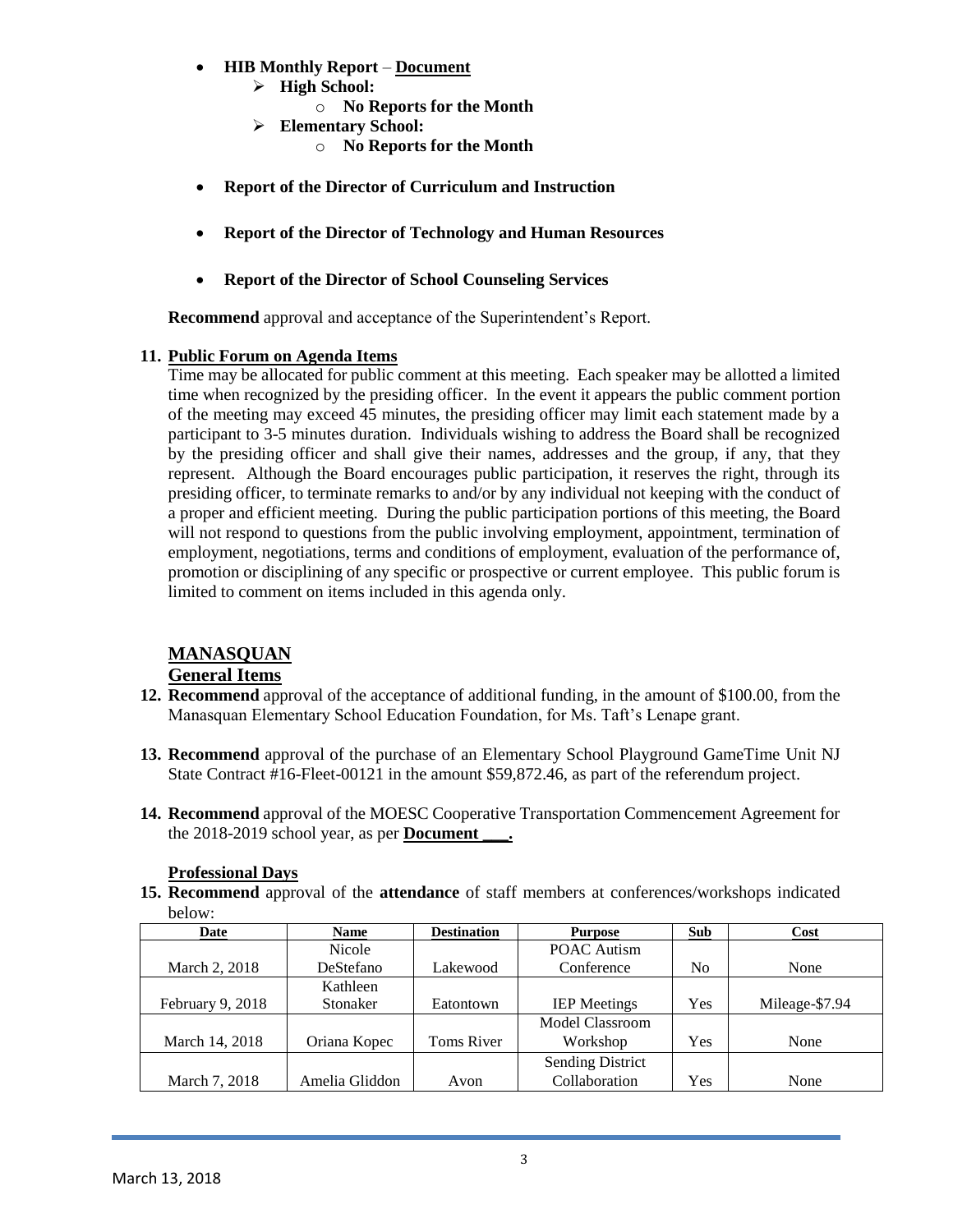- **HIB Monthly Report Document** 
	- **High School:**
		- o **No Reports for the Month**
	- **Elementary School:**
		- o **No Reports for the Month**
- **Report of the Director of Curriculum and Instruction**
- **Report of the Director of Technology and Human Resources**
- **Report of the Director of School Counseling Services**

**Recommend** approval and acceptance of the Superintendent's Report.

### **11. Public Forum on Agenda Items**

Time may be allocated for public comment at this meeting. Each speaker may be allotted a limited time when recognized by the presiding officer. In the event it appears the public comment portion of the meeting may exceed 45 minutes, the presiding officer may limit each statement made by a participant to 3-5 minutes duration. Individuals wishing to address the Board shall be recognized by the presiding officer and shall give their names, addresses and the group, if any, that they represent. Although the Board encourages public participation, it reserves the right, through its presiding officer, to terminate remarks to and/or by any individual not keeping with the conduct of a proper and efficient meeting. During the public participation portions of this meeting, the Board will not respond to questions from the public involving employment, appointment, termination of employment, negotiations, terms and conditions of employment, evaluation of the performance of, promotion or disciplining of any specific or prospective or current employee. This public forum is limited to comment on items included in this agenda only.

# **MANASQUAN**

# **General Items**

- **12. Recommend** approval of the acceptance of additional funding, in the amount of \$100.00, from the Manasquan Elementary School Education Foundation, for Ms. Taft's Lenape grant.
- **13. Recommend** approval of the purchase of an Elementary School Playground GameTime Unit NJ State Contract #16-Fleet-00121 in the amount \$59,872.46, as part of the referendum project.
- **14. Recommend** approval of the MOESC Cooperative Transportation Commencement Agreement for the 2018-2019 school year, as per **Document \_\_\_.**

**15. Recommend** approval of the **attendance** of staff members at conferences/workshops indicated

| below:           |                |                   |                         |                |                |  |
|------------------|----------------|-------------------|-------------------------|----------------|----------------|--|
| Date             | <b>Name</b>    |                   | <b>Purpose</b>          | Sub            | Cost           |  |
|                  | Nicole         |                   | <b>POAC Autism</b>      |                |                |  |
| March 2, 2018    | DeStefano      | Lakewood          | Conference              | N <sub>0</sub> | None           |  |
|                  | Kathleen       |                   |                         |                |                |  |
| February 9, 2018 | Stonaker       | Eatontown         | <b>IEP</b> Meetings     | Yes            | Mileage-\$7.94 |  |
|                  |                |                   | Model Classroom         |                |                |  |
| March 14, 2018   | Oriana Kopec   | <b>Toms River</b> | Workshop                | Yes            | None           |  |
|                  |                |                   | <b>Sending District</b> |                |                |  |
| March 7, 2018    | Amelia Gliddon | Avon              | Collaboration           | Yes            | None           |  |

### **Professional Days**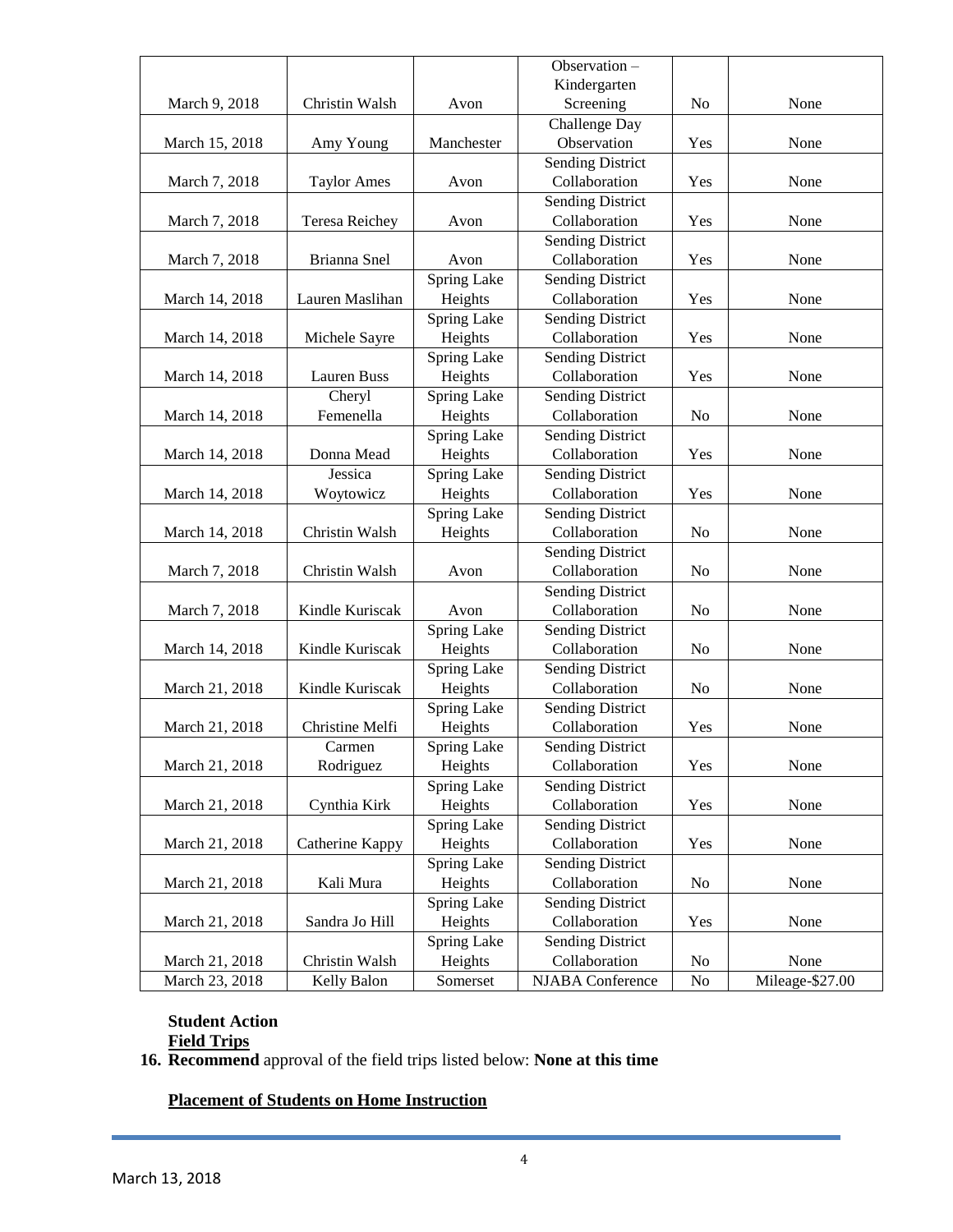|                |                    | Observation-                            |                                 |                |                 |  |
|----------------|--------------------|-----------------------------------------|---------------------------------|----------------|-----------------|--|
|                |                    | Kindergarten                            |                                 |                |                 |  |
| March 9, 2018  | Christin Walsh     | Avon                                    | Screening                       | No             | None            |  |
|                |                    | Challenge Day                           |                                 |                |                 |  |
| March 15, 2018 | Amy Young          | Manchester                              | Observation                     | Yes            | None            |  |
|                |                    |                                         | <b>Sending District</b>         |                |                 |  |
| March 7, 2018  | <b>Taylor Ames</b> | Avon                                    | Collaboration                   | Yes            | None            |  |
|                |                    |                                         | <b>Sending District</b>         |                |                 |  |
| March 7, 2018  | Teresa Reichey     | Avon                                    | Collaboration                   | Yes            | None            |  |
|                |                    |                                         | <b>Sending District</b>         |                |                 |  |
| March 7, 2018  | Brianna Snel       | Avon                                    | Collaboration                   | Yes            | None            |  |
|                |                    | <b>Spring Lake</b>                      | <b>Sending District</b>         |                |                 |  |
| March 14, 2018 | Lauren Maslihan    | Heights                                 | Collaboration                   | Yes            | None            |  |
|                |                    | Spring Lake                             | <b>Sending District</b>         |                |                 |  |
| March 14, 2018 | Michele Sayre      | Heights                                 | Collaboration                   | Yes            | None            |  |
|                |                    | Spring Lake                             | <b>Sending District</b>         |                |                 |  |
| March 14, 2018 | Lauren Buss        | Heights                                 | Collaboration                   | Yes            | None            |  |
|                | Cheryl             | Spring Lake                             | <b>Sending District</b>         |                |                 |  |
| March 14, 2018 | Femenella          | Heights                                 | Collaboration                   | N <sub>o</sub> | None            |  |
|                |                    | Spring Lake                             | <b>Sending District</b>         |                |                 |  |
| March 14, 2018 | Donna Mead         | Heights                                 | Collaboration                   | Yes            | None            |  |
|                | Jessica            | Spring Lake                             | <b>Sending District</b>         |                |                 |  |
| March 14, 2018 | Woytowicz          | Heights                                 | Collaboration                   | Yes            | None            |  |
|                |                    | Spring Lake<br><b>Sending District</b>  |                                 |                |                 |  |
| March 14, 2018 | Christin Walsh     | Collaboration<br>Heights                |                                 | N <sub>o</sub> | None            |  |
|                |                    |                                         | <b>Sending District</b>         |                |                 |  |
| March 7, 2018  | Christin Walsh     | Collaboration<br>Avon<br>N <sub>0</sub> |                                 | None           |                 |  |
|                |                    |                                         | <b>Sending District</b>         |                |                 |  |
| March 7, 2018  | Kindle Kuriscak    | Avon                                    | Collaboration<br>No             |                | None            |  |
|                |                    | Spring Lake                             | <b>Sending District</b>         |                |                 |  |
| March 14, 2018 | Kindle Kuriscak    | Heights                                 | Collaboration<br>No             |                | None            |  |
|                |                    | Spring Lake                             | <b>Sending District</b>         |                |                 |  |
| March 21, 2018 | Kindle Kuriscak    | Heights                                 | Collaboration<br>N <sub>o</sub> |                | None            |  |
|                |                    | Spring Lake                             | <b>Sending District</b>         |                |                 |  |
| March 21, 2018 | Christine Melfi    | Collaboration<br>Heights                |                                 | Yes            | None            |  |
|                | Carmen             | Spring Lake                             | <b>Sending District</b>         |                |                 |  |
| March 21, 2018 | Rodriguez          | Heights<br>Collaboration                |                                 | Yes            | None            |  |
|                |                    | Spring Lake                             | <b>Sending District</b>         |                |                 |  |
| March 21, 2018 | Cynthia Kirk       | Collaboration<br>Heights<br>Yes         |                                 | None           |                 |  |
|                |                    | <b>Spring Lake</b>                      | <b>Sending District</b>         |                |                 |  |
| March 21, 2018 | Catherine Kappy    | Heights                                 | Collaboration                   | Yes            | None            |  |
|                |                    | Spring Lake                             | <b>Sending District</b>         |                |                 |  |
| March 21, 2018 | Kali Mura          | Heights                                 | Collaboration                   | N <sub>o</sub> | None            |  |
|                |                    | Spring Lake                             | <b>Sending District</b>         |                |                 |  |
| March 21, 2018 | Sandra Jo Hill     | Heights                                 | Collaboration                   | Yes            | None            |  |
|                |                    | Spring Lake                             | <b>Sending District</b>         |                |                 |  |
| March 21, 2018 | Christin Walsh     | Heights                                 | Collaboration                   | N <sub>o</sub> | None            |  |
| March 23, 2018 | Kelly Balon        | Somerset                                | NJABA Conference                | N <sub>o</sub> | Mileage-\$27.00 |  |
|                |                    |                                         |                                 |                |                 |  |

### **Student Action Field Trips**

**16. Recommend** approval of the field trips listed below: **None at this time**

**Placement of Students on Home Instruction**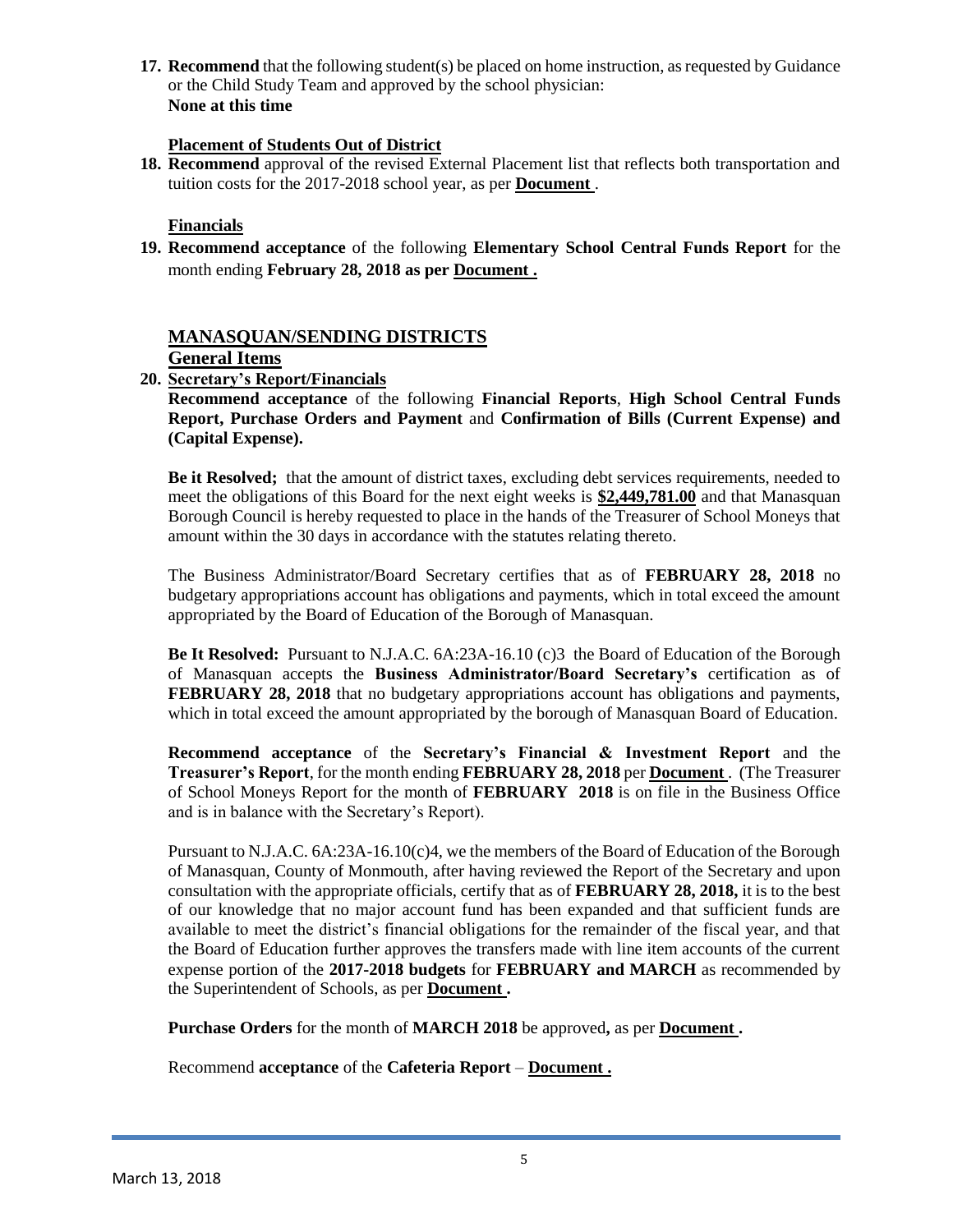**17. Recommend** that the following student(s) be placed on home instruction, as requested by Guidance or the Child Study Team and approved by the school physician: **None at this time**

### **Placement of Students Out of District**

**18. Recommend** approval of the revised External Placement list that reflects both transportation and tuition costs for the 2017-2018 school year, as per **Document** .

### **Financials**

**19. Recommend acceptance** of the following **Elementary School Central Funds Report** for the month ending **February 28, 2018 as per Document .**

# **MANASQUAN/SENDING DISTRICTS**

# **General Items**

# **20. Secretary's Report/Financials**

**Recommend acceptance** of the following **Financial Reports**, **High School Central Funds Report, Purchase Orders and Payment** and **Confirmation of Bills (Current Expense) and (Capital Expense).**

**Be it Resolved;** that the amount of district taxes, excluding debt services requirements, needed to meet the obligations of this Board for the next eight weeks is **\$2,449,781.00** and that Manasquan Borough Council is hereby requested to place in the hands of the Treasurer of School Moneys that amount within the 30 days in accordance with the statutes relating thereto.

The Business Administrator/Board Secretary certifies that as of **FEBRUARY 28, 2018** no budgetary appropriations account has obligations and payments, which in total exceed the amount appropriated by the Board of Education of the Borough of Manasquan.

**Be It Resolved:** Pursuant to N.J.A.C. 6A:23A-16.10 (c)3 the Board of Education of the Borough of Manasquan accepts the **Business Administrator/Board Secretary's** certification as of **FEBRUARY 28, 2018** that no budgetary appropriations account has obligations and payments, which in total exceed the amount appropriated by the borough of Manasquan Board of Education.

**Recommend acceptance** of the **Secretary's Financial & Investment Report** and the **Treasurer's Report**, for the month ending **FEBRUARY 28, 2018** per **Document** . (The Treasurer of School Moneys Report for the month of **FEBRUARY 2018** is on file in the Business Office and is in balance with the Secretary's Report).

Pursuant to N.J.A.C. 6A:23A-16.10(c)4, we the members of the Board of Education of the Borough of Manasquan, County of Monmouth, after having reviewed the Report of the Secretary and upon consultation with the appropriate officials, certify that as of **FEBRUARY 28, 2018,** it is to the best of our knowledge that no major account fund has been expanded and that sufficient funds are available to meet the district's financial obligations for the remainder of the fiscal year, and that the Board of Education further approves the transfers made with line item accounts of the current expense portion of the **2017-2018 budgets** for **FEBRUARY and MARCH** as recommended by the Superintendent of Schools, as per **Document .**

**Purchase Orders** for the month of **MARCH 2018** be approved**,** as per **Document .**

Recommend **acceptance** of the **Cafeteria Report** – **Document .**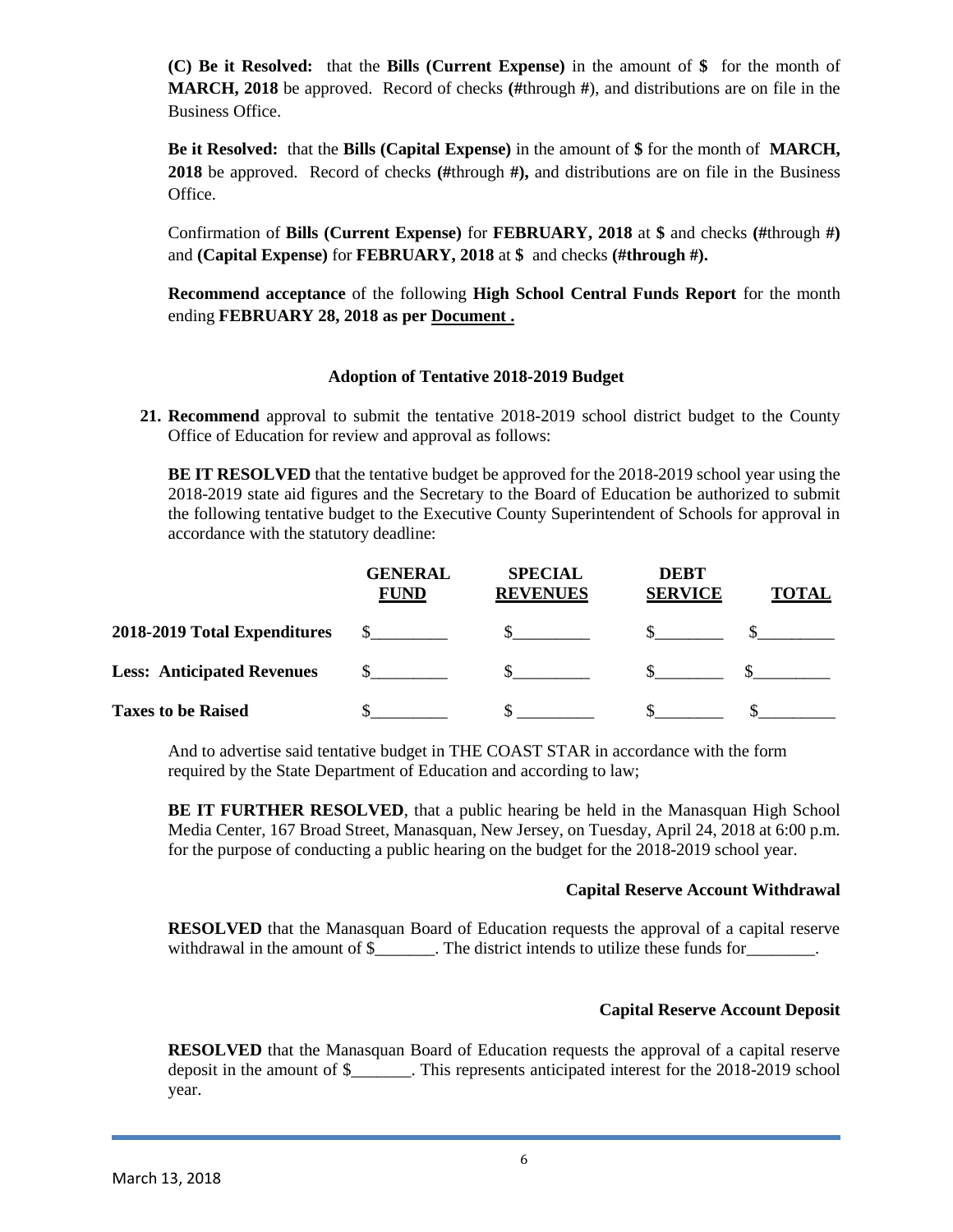**(C) Be it Resolved:** that the **Bills (Current Expense)** in the amount of **\$** for the month of **MARCH, 2018** be approved. Record of checks **(#**through **#**), and distributions are on file in the Business Office.

**Be it Resolved:** that the **Bills (Capital Expense)** in the amount of **\$** for the month of **MARCH, 2018** be approved. Record of checks **(#**through **#),** and distributions are on file in the Business Office.

Confirmation of **Bills (Current Expense)** for **FEBRUARY, 2018** at **\$** and checks **(#**through **#)** and **(Capital Expense)** for **FEBRUARY, 2018** at **\$** and checks **(#through #).**

**Recommend acceptance** of the following **High School Central Funds Report** for the month ending **FEBRUARY 28, 2018 as per Document .**

### **Adoption of Tentative 2018-2019 Budget**

**21. Recommend** approval to submit the tentative 2018-2019 school district budget to the County Office of Education for review and approval as follows:

**BE IT RESOLVED** that the tentative budget be approved for the 2018-2019 school year using the 2018-2019 state aid figures and the Secretary to the Board of Education be authorized to submit the following tentative budget to the Executive County Superintendent of Schools for approval in accordance with the statutory deadline:

|                                   | <b>GENERAL</b><br><b>FUND</b> | <b>SPECIAL</b><br><b>REVENUES</b> | <b>DEBT</b><br><b>SERVICE</b> | <b>TOTAL</b> |
|-----------------------------------|-------------------------------|-----------------------------------|-------------------------------|--------------|
| 2018-2019 Total Expenditures      |                               |                                   |                               |              |
| <b>Less: Anticipated Revenues</b> |                               |                                   |                               |              |
| <b>Taxes to be Raised</b>         |                               |                                   |                               |              |

And to advertise said tentative budget in THE COAST STAR in accordance with the form required by the State Department of Education and according to law;

**BE IT FURTHER RESOLVED**, that a public hearing be held in the Manasquan High School Media Center, 167 Broad Street, Manasquan, New Jersey, on Tuesday, April 24, 2018 at 6:00 p.m. for the purpose of conducting a public hearing on the budget for the 2018-2019 school year.

#### **Capital Reserve Account Withdrawal**

**RESOLVED** that the Manasquan Board of Education requests the approval of a capital reserve withdrawal in the amount of \$\_\_\_\_\_\_\_. The district intends to utilize these funds for \_\_\_\_\_\_\_.

### **Capital Reserve Account Deposit**

**RESOLVED** that the Manasquan Board of Education requests the approval of a capital reserve deposit in the amount of \$\_\_\_\_\_\_\_. This represents anticipated interest for the 2018-2019 school year.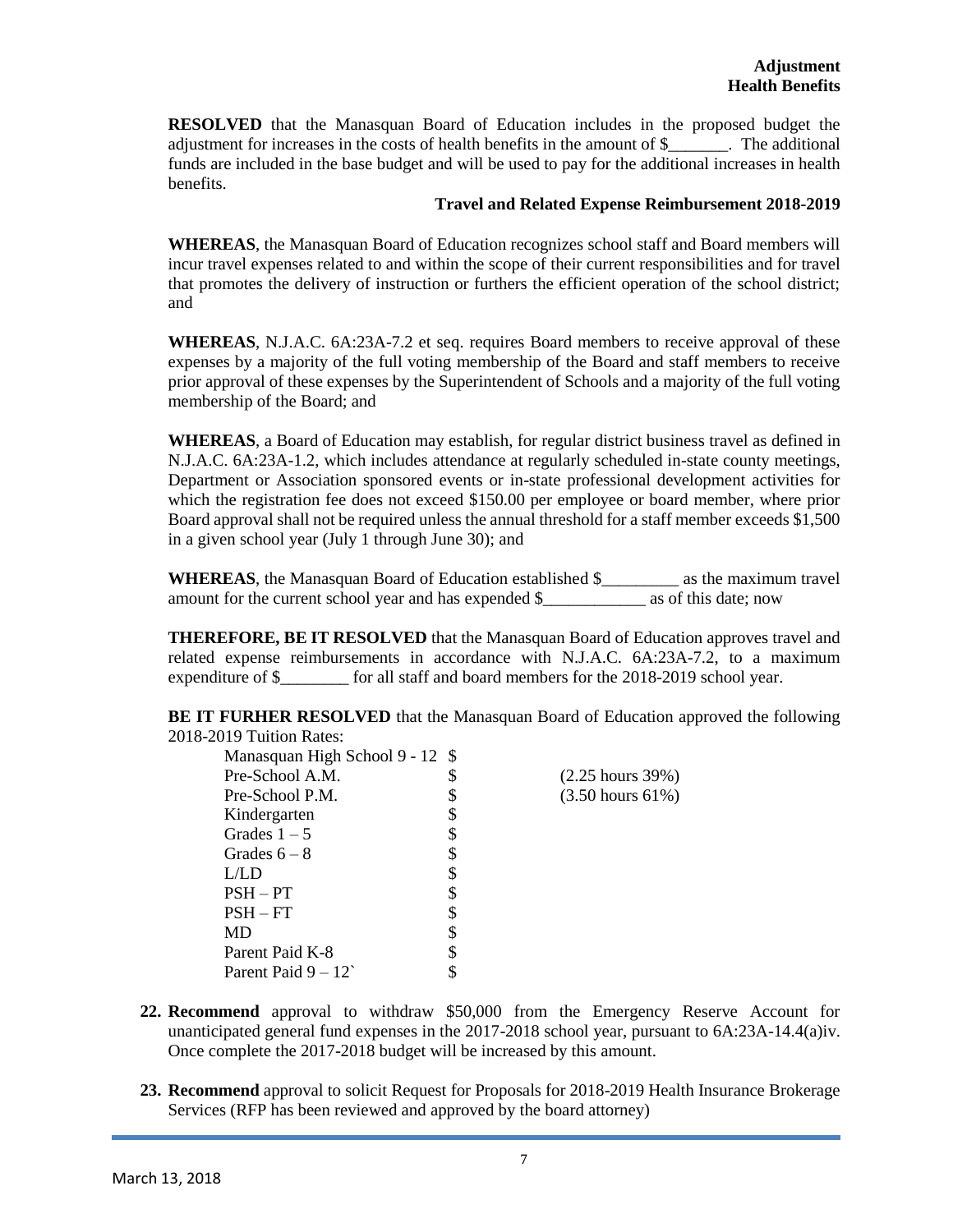**RESOLVED** that the Manasquan Board of Education includes in the proposed budget the adjustment for increases in the costs of health benefits in the amount of \$\_\_\_\_\_\_\_. The additional funds are included in the base budget and will be used to pay for the additional increases in health benefits.

#### **Travel and Related Expense Reimbursement 2018-2019**

**WHEREAS**, the Manasquan Board of Education recognizes school staff and Board members will incur travel expenses related to and within the scope of their current responsibilities and for travel that promotes the delivery of instruction or furthers the efficient operation of the school district; and

**WHEREAS**, N.J.A.C. 6A:23A-7.2 et seq. requires Board members to receive approval of these expenses by a majority of the full voting membership of the Board and staff members to receive prior approval of these expenses by the Superintendent of Schools and a majority of the full voting membership of the Board; and

**WHEREAS**, a Board of Education may establish, for regular district business travel as defined in N.J.A.C. 6A:23A-1.2, which includes attendance at regularly scheduled in-state county meetings, Department or Association sponsored events or in-state professional development activities for which the registration fee does not exceed \$150.00 per employee or board member, where prior Board approval shall not be required unless the annual threshold for a staff member exceeds \$1,500 in a given school year (July 1 through June 30); and

**WHEREAS**, the Manasquan Board of Education established \$\_\_\_\_\_\_\_\_\_ as the maximum travel amount for the current school year and has expended \$\_\_\_\_\_\_\_\_\_\_\_\_ as of this date; now

**THEREFORE, BE IT RESOLVED** that the Manasquan Board of Education approves travel and related expense reimbursements in accordance with N.J.A.C. 6A:23A-7.2, to a maximum expenditure of \$\_\_\_\_\_\_\_\_ for all staff and board members for the 2018-2019 school year.

**BE IT FURHER RESOLVED** that the Manasquan Board of Education approved the following 2018-2019 Tuition Rates:

| Manasquan High School 9 - 12 \$ |    |                              |
|---------------------------------|----|------------------------------|
| Pre-School A.M.                 | \$ | $(2.25 \text{ hours } 39\%)$ |
| Pre-School P.M.                 |    | $(3.50 \text{ hours } 61\%)$ |
| Kindergarten                    |    |                              |
| Grades $1-5$                    | S  |                              |
| Grades $6-8$                    | S  |                              |
| L/LD                            |    |                              |
| $PSH - PT$                      |    |                              |
| $PSH - FT$                      |    |                              |
| MD                              |    |                              |
| Parent Paid K-8                 |    |                              |
| Parent Paid $9 - 12$            |    |                              |

- **22. Recommend** approval to withdraw \$50,000 from the Emergency Reserve Account for unanticipated general fund expenses in the 2017-2018 school year, pursuant to 6A:23A-14.4(a)iv. Once complete the 2017-2018 budget will be increased by this amount.
- **23. Recommend** approval to solicit Request for Proposals for 2018-2019 Health Insurance Brokerage Services (RFP has been reviewed and approved by the board attorney)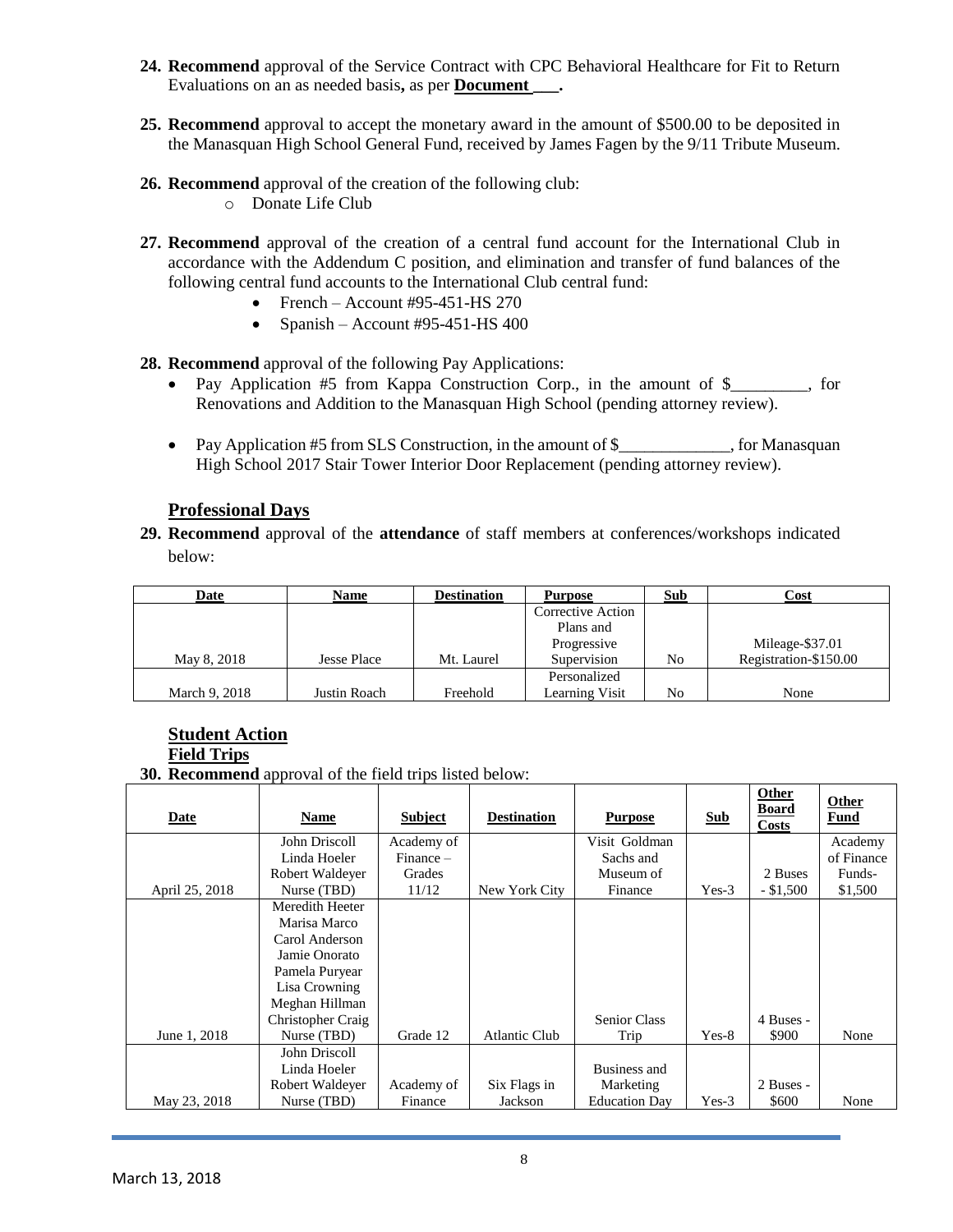- **24. Recommend** approval of the Service Contract with CPC Behavioral Healthcare for Fit to Return Evaluations on an as needed basis, as per **Document** .
- **25. Recommend** approval to accept the monetary award in the amount of \$500.00 to be deposited in the Manasquan High School General Fund, received by James Fagen by the 9/11 Tribute Museum.
- **26. Recommend** approval of the creation of the following club:
	- o Donate Life Club
- **27. Recommend** approval of the creation of a central fund account for the International Club in accordance with the Addendum C position, and elimination and transfer of fund balances of the following central fund accounts to the International Club central fund:
	- French Account #95-451-HS 270
	- Spanish Account #95-451-HS 400

**28. Recommend** approval of the following Pay Applications:

- Pay Application #5 from Kappa Construction Corp., in the amount of \$\_\_\_\_\_\_\_\_, for Renovations and Addition to the Manasquan High School (pending attorney review).
- Pay Application #5 from SLS Construction, in the amount of \$\_\_\_\_\_\_\_\_\_\_, for Manasquan High School 2017 Stair Tower Interior Door Replacement (pending attorney review).

### **Professional Days**

**29. Recommend** approval of the **attendance** of staff members at conferences/workshops indicated below:

| Date          | Name               | <b>Destination</b> | <b>Purpose</b>    | Sub | Cost                  |
|---------------|--------------------|--------------------|-------------------|-----|-----------------------|
|               |                    |                    | Corrective Action |     |                       |
|               |                    |                    | Plans and         |     |                       |
|               |                    |                    | Progressive       |     | Mileage-\$37.01       |
| May 8, 2018   | <b>Jesse Place</b> | Mt. Laurel         | Supervision       | No  | Registration-\$150.00 |
|               |                    |                    | Personalized      |     |                       |
| March 9, 2018 | Justin Roach       | Freehold           | Learning Visit    | No  | None                  |

# **Student Action**

**Field Trips**

**30. Recommend** approval of the field trips listed below:

| Date           | Name              | <b>Subject</b> | <b>Destination</b>   | <b>Purpose</b>       | <b>Sub</b> | Other<br><b>Board</b><br><b>Costs</b> | Other<br><b>Fund</b> |
|----------------|-------------------|----------------|----------------------|----------------------|------------|---------------------------------------|----------------------|
|                | John Driscoll     | Academy of     |                      | Visit Goldman        |            |                                       | Academy              |
|                | Linda Hoeler      | $Finance -$    |                      | Sachs and            |            |                                       | of Finance           |
|                | Robert Waldeyer   | Grades         |                      | Museum of            |            | 2 Buses                               | Funds-               |
| April 25, 2018 | Nurse (TBD)       | 11/12          | New York City        | Finance              | $Yes-3$    | $-$ \$1,500                           | \$1,500              |
|                | Meredith Heeter   |                |                      |                      |            |                                       |                      |
|                | Marisa Marco      |                |                      |                      |            |                                       |                      |
|                | Carol Anderson    |                |                      |                      |            |                                       |                      |
|                | Jamie Onorato     |                |                      |                      |            |                                       |                      |
|                | Pamela Puryear    |                |                      |                      |            |                                       |                      |
|                | Lisa Crowning     |                |                      |                      |            |                                       |                      |
|                | Meghan Hillman    |                |                      |                      |            |                                       |                      |
|                | Christopher Craig |                |                      | <b>Senior Class</b>  |            | 4 Buses -                             |                      |
| June 1, 2018   | Nurse (TBD)       | Grade 12       | <b>Atlantic Club</b> | Trip                 | $Yes-8$    | \$900                                 | None                 |
|                | John Driscoll     |                |                      |                      |            |                                       |                      |
|                | Linda Hoeler      |                |                      | Business and         |            |                                       |                      |
|                | Robert Waldeyer   | Academy of     | Six Flags in         | Marketing            |            | 2 Buses -                             |                      |
| May 23, 2018   | Nurse (TBD)       | Finance        | Jackson              | <b>Education Day</b> | $Yes-3$    | \$600                                 | None                 |